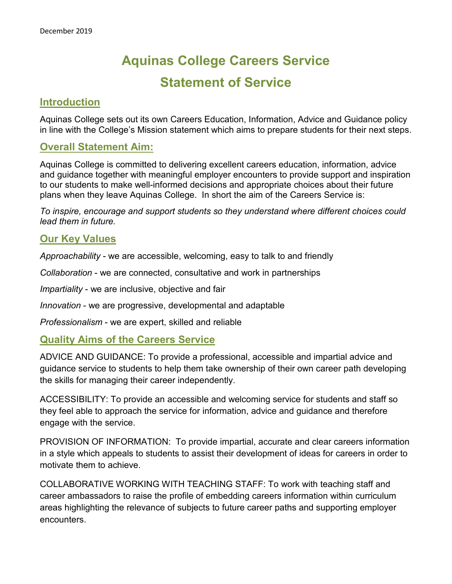# **Aquinas College Careers Service Statement of Service**

## **Introduction**

Aquinas College sets out its own Careers Education, Information, Advice and Guidance policy in line with the College's Mission statement which aims to prepare students for their next steps.

## **Overall Statement Aim:**

Aquinas College is committed to delivering excellent careers education, information, advice and guidance together with meaningful employer encounters to provide support and inspiration to our students to make well-informed decisions and appropriate choices about their future plans when they leave Aquinas College. In short the aim of the Careers Service is:

*To inspire, encourage and support students so they understand where different choices could lead them in future.*

## **Our Key Values**

*Approachability* - we are accessible, welcoming, easy to talk to and friendly

*Collaboration* - we are connected, consultative and work in partnerships

*Impartiality* - we are inclusive, objective and fair

*Innovation* - we are progressive, developmental and adaptable

*Professionalism* - we are expert, skilled and reliable

## **Quality Aims of the Careers Service**

ADVICE AND GUIDANCE: To provide a professional, accessible and impartial advice and guidance service to students to help them take ownership of their own career path developing the skills for managing their career independently.

ACCESSIBILITY: To provide an accessible and welcoming service for students and staff so they feel able to approach the service for information, advice and guidance and therefore engage with the service.

PROVISION OF INFORMATION: To provide impartial, accurate and clear careers information in a style which appeals to students to assist their development of ideas for careers in order to motivate them to achieve.

COLLABORATIVE WORKING WITH TEACHING STAFF: To work with teaching staff and career ambassadors to raise the profile of embedding careers information within curriculum areas highlighting the relevance of subjects to future career paths and supporting employer encounters.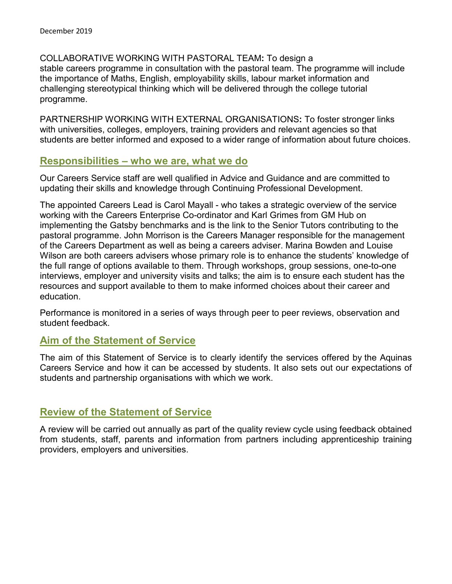COLLABORATIVE WORKING WITH PASTORAL TEAM**:** To design a stable careers programme in consultation with the pastoral team. The programme will include the importance of Maths, English, employability skills, labour market information and challenging stereotypical thinking which will be delivered through the college tutorial programme.

PARTNERSHIP WORKING WITH EXTERNAL ORGANISATIONS**:** To foster stronger links with universities, colleges, employers, training providers and relevant agencies so that students are better informed and exposed to a wider range of information about future choices.

### **Responsibilities – who we are, what we do**

Our Careers Service staff are well qualified in Advice and Guidance and are committed to updating their skills and knowledge through Continuing Professional Development.

The appointed Careers Lead is Carol Mayall - who takes a strategic overview of the service working with the Careers Enterprise Co-ordinator and Karl Grimes from GM Hub on implementing the Gatsby benchmarks and is the link to the Senior Tutors contributing to the pastoral programme. John Morrison is the Careers Manager responsible for the management of the Careers Department as well as being a careers adviser. Marina Bowden and Louise Wilson are both careers advisers whose primary role is to enhance the students' knowledge of the full range of options available to them. Through workshops, group sessions, one-to-one interviews, employer and university visits and talks; the aim is to ensure each student has the resources and support available to them to make informed choices about their career and education.

Performance is monitored in a series of ways through peer to peer reviews, observation and student feedback.

## **Aim of the Statement of Service**

The aim of this Statement of Service is to clearly identify the services offered by the Aquinas Careers Service and how it can be accessed by students. It also sets out our expectations of students and partnership organisations with which we work.

## **Review of the Statement of Service**

A review will be carried out annually as part of the quality review cycle using feedback obtained from students, staff, parents and information from partners including apprenticeship training providers, employers and universities.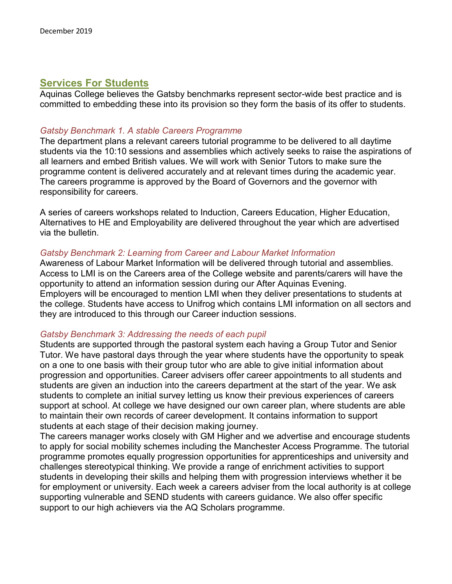## **Services For Students**

Aquinas College believes the Gatsby benchmarks represent sector-wide best practice and is committed to embedding these into its provision so they form the basis of its offer to students.

#### *Gatsby Benchmark 1. A stable Careers Programme*

The department plans a relevant careers tutorial programme to be delivered to all daytime students via the 10:10 sessions and assemblies which actively seeks to raise the aspirations of all learners and embed British values. We will work with Senior Tutors to make sure the programme content is delivered accurately and at relevant times during the academic year. The careers programme is approved by the Board of Governors and the governor with responsibility for careers.

A series of careers workshops related to Induction, Careers Education, Higher Education, Alternatives to HE and Employability are delivered throughout the year which are advertised via the bulletin.

#### *Gatsby Benchmark 2: Learning from Career and Labour Market Information*

Awareness of Labour Market Information will be delivered through tutorial and assemblies. Access to LMI is on the Careers area of the College website and parents/carers will have the opportunity to attend an information session during our After Aquinas Evening. Employers will be encouraged to mention LMI when they deliver presentations to students at the college. Students have access to Unifrog which contains LMI information on all sectors and they are introduced to this through our Career induction sessions.

#### *Gatsby Benchmark 3: Addressing the needs of each pupil*

Students are supported through the pastoral system each having a Group Tutor and Senior Tutor. We have pastoral days through the year where students have the opportunity to speak on a one to one basis with their group tutor who are able to give initial information about progression and opportunities. Career advisers offer career appointments to all students and students are given an induction into the careers department at the start of the year. We ask students to complete an initial survey letting us know their previous experiences of careers support at school. At college we have designed our own career plan, where students are able to maintain their own records of career development. It contains information to support students at each stage of their decision making journey.

The careers manager works closely with GM Higher and we advertise and encourage students to apply for social mobility schemes including the Manchester Access Programme. The tutorial programme promotes equally progression opportunities for apprenticeships and university and challenges stereotypical thinking. We provide a range of enrichment activities to support students in developing their skills and helping them with progression interviews whether it be for employment or university. Each week a careers adviser from the local authority is at college supporting vulnerable and SEND students with careers guidance. We also offer specific support to our high achievers via the AQ Scholars programme.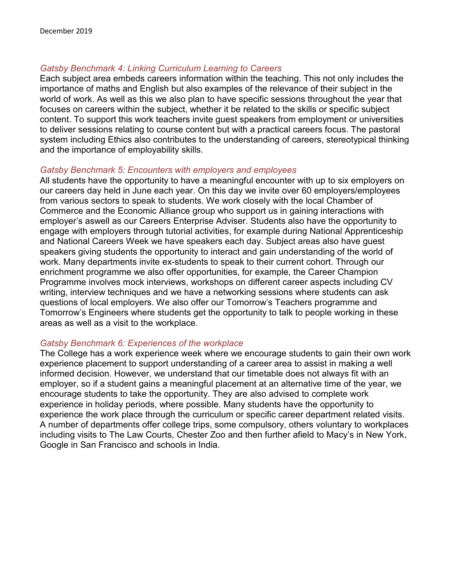#### *Gatsby Benchmark 4: Linking Curriculum Learning to Careers*

Each subject area embeds careers information within the teaching. This not only includes the importance of maths and English but also examples of the relevance of their subject in the world of work. As well as this we also plan to have specific sessions throughout the year that focuses on careers within the subject, whether it be related to the skills or specific subject content. To support this work teachers invite guest speakers from employment or universities to deliver sessions relating to course content but with a practical careers focus. The pastoral system including Ethics also contributes to the understanding of careers, stereotypical thinking and the importance of employability skills.

#### *Gatsby Benchmark 5: Encounters with employers and employees*

All students have the opportunity to have a meaningful encounter with up to six employers on our careers day held in June each year. On this day we invite over 60 employers/employees from various sectors to speak to students. We work closely with the local Chamber of Commerce and the Economic Alliance group who support us in gaining interactions with employer's aswell as our Careers Enterprise Adviser. Students also have the opportunity to engage with employers through tutorial activities, for example during National Apprenticeship and National Careers Week we have speakers each day. Subject areas also have guest speakers giving students the opportunity to interact and gain understanding of the world of work. Many departments invite ex-students to speak to their current cohort. Through our enrichment programme we also offer opportunities, for example, the Career Champion Programme involves mock interviews, workshops on different career aspects including CV writing, interview techniques and we have a networking sessions where students can ask questions of local employers. We also offer our Tomorrow's Teachers programme and Tomorrow's Engineers where students get the opportunity to talk to people working in these areas as well as a visit to the workplace.

#### *Gatsby Benchmark 6: Experiences of the workplace*

The College has a work experience week where we encourage students to gain their own work experience placement to support understanding of a career area to assist in making a well informed decision. However, we understand that our timetable does not always fit with an employer, so if a student gains a meaningful placement at an alternative time of the year, we encourage students to take the opportunity. They are also advised to complete work experience in holiday periods, where possible. Many students have the opportunity to experience the work place through the curriculum or specific career department related visits. A number of departments offer college trips, some compulsory, others voluntary to workplaces including visits to The Law Courts, Chester Zoo and then further afield to Macy's in New York, Google in San Francisco and schools in India.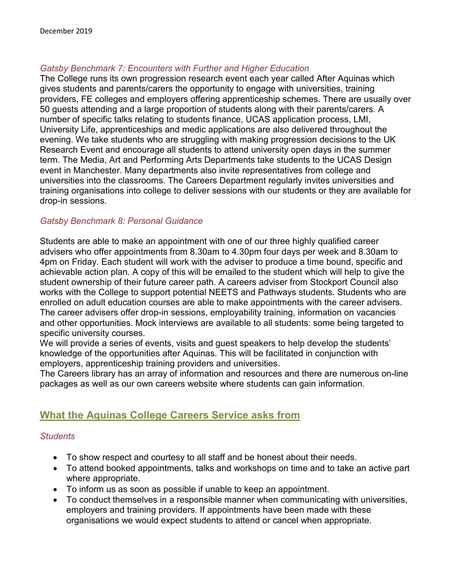#### *Gatsby Benchmark 7: Encounters with Further and Higher Education*

The College runs its own progression research event each year called After Aquinas which gives students and parents/carers the opportunity to engage with universities, training providers, FE colleges and employers offering apprenticeship schemes. There are usually over 50 guests attending and a large proportion of students along with their parents/carers. A number of specific talks relating to students finance, UCAS application process, LMI, University Life, apprenticeships and medic applications are also delivered throughout the evening. We take students who are struggling with making progression decisions to the UK Research Event and encourage all students to attend university open days in the summer term. The Media, Art and Performing Arts Departments take students to the UCAS Design event in Manchester. Many departments also invite representatives from college and universities into the classrooms. The Careers Department regularly invites universities and training organisations into college to deliver sessions with our students or they are available for drop-in sessions.

#### *Gatsby Benchmark 8: Personal Guidance*

Students are able to make an appointment with one of our three highly qualified career advisers who offer appointments from 8.30am to 4.30pm four days per week and 8.30am to 4pm on Friday. Each student will work with the adviser to produce a time bound, specific and achievable action plan. A copy of this will be emailed to the student which will help to give the student ownership of their future career path. A careers adviser from Stockport Council also works with the College to support potential NEETS and Pathways students. Students who are enrolled on adult education courses are able to make appointments with the career advisers. The career advisers offer drop-in sessions, employability training, information on vacancies and other opportunities. Mock interviews are available to all students: some being targeted to specific university courses.

We will provide a series of events, visits and guest speakers to help develop the students' knowledge of the opportunities after Aquinas. This will be facilitated in conjunction with employers, apprenticeship training providers and universities.

The Careers library has an array of information and resources and there are numerous on-line packages as well as our own careers website where students can gain information.

## **What the Aquinas College Careers Service asks from**

#### *Students*

- To show respect and courtesy to all staff and be honest about their needs.
- To attend booked appointments, talks and workshops on time and to take an active part where appropriate.
- To inform us as soon as possible if unable to keep an appointment.
- To conduct themselves in a responsible manner when communicating with universities, employers and training providers. If appointments have been made with these organisations we would expect students to attend or cancel when appropriate.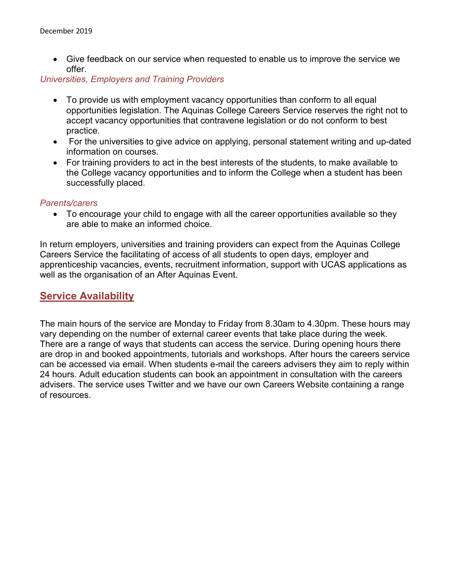• Give feedback on our service when requested to enable us to improve the service we offer.

#### *Universities, Employers and Training Providers*

- To provide us with employment vacancy opportunities than conform to all equal opportunities legislation. The Aquinas College Careers Service reserves the right not to accept vacancy opportunities that contravene legislation or do not conform to best practice.
- For the universities to give advice on applying, personal statement writing and up-dated information on courses.
- For training providers to act in the best interests of the students, to make available to the College vacancy opportunities and to inform the College when a student has been successfully placed.

#### *Parents/carers*

• To encourage your child to engage with all the career opportunities available so they are able to make an informed choice.

In return employers, universities and training providers can expect from the Aquinas College Careers Service the facilitating of access of all students to open days, employer and apprenticeship vacancies, events, recruitment information, support with UCAS applications as well as the organisation of an After Aquinas Event.

## **Service Availability**

The main hours of the service are Monday to Friday from 8.30am to 4.30pm. These hours may vary depending on the number of external career events that take place during the week. There are a range of ways that students can access the service. During opening hours there are drop in and booked appointments, tutorials and workshops. After hours the careers service can be accessed via email. When students e-mail the careers advisers they aim to reply within 24 hours. Adult education students can book an appointment in consultation with the careers advisers. The service uses Twitter and we have our own Careers Website containing a range of resources.